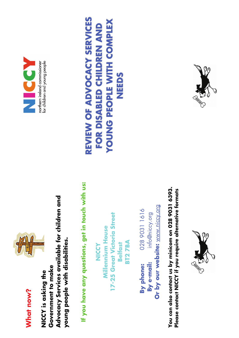



**Advocacy Services available for children and**  Advocacy Services available for children and **young people with disabilities.**  young people with disabilities. **Government to make**  Government to make **NICCY is asking the**  NICCY is asking the

**If you have any questions, get in touch with us:**  If you have any questions, get in touch with us:

**17-25 Great Victoria Street**  17-25 Great Victoria Street **Millennium House Millennium House BT2 7BA BT27BA Belfast NICCY** 

Or by our website: www.niccy.org **Or by our website:** [www.niccy.org](http://www.niccy.org/)  **By phone:** 028 9031 1616 028 9031 1616 **By e-mail:** info@niccy.org info@niccy.org By e-mail: By phone:

**You can also contact us by minicom on 028 9031 6393.**  You can also contact us by minicom on 028 9031 6393. **Please contact NICCY if you require alternative formats**  Please contact NICCY if you require alternative formats





#### REVIEW OF ADVOCACY SERVICES **REVIEW OF ADVOCACY SERVICES** YOUNG PEOPLE WITH COMPLEX **YOUNG PEOPLE WITH COMPLEX** FOR DISABLED CHILDREN AND **FOR DISABLED CHILDREN AND NEEDS**